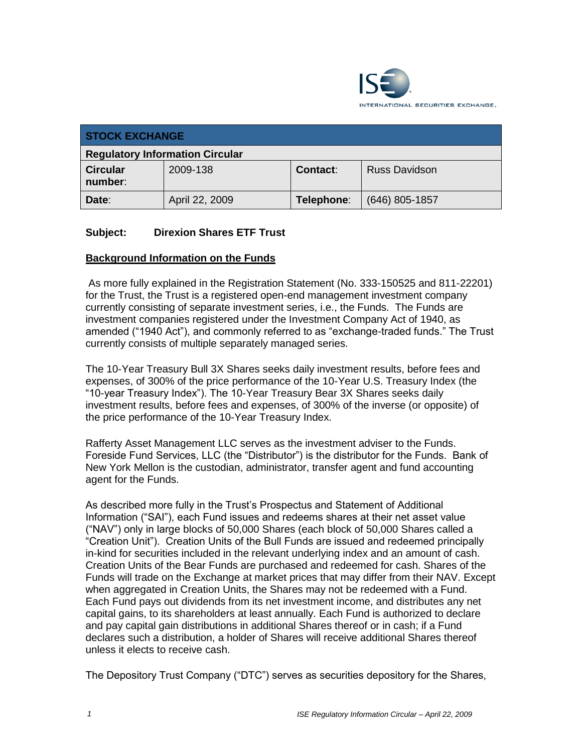

| <b>STOCK EXCHANGE</b>                  |                |                 |                      |
|----------------------------------------|----------------|-----------------|----------------------|
| <b>Regulatory Information Circular</b> |                |                 |                      |
| <b>Circular</b><br>number:             | 2009-138       | <b>Contact:</b> | <b>Russ Davidson</b> |
| Date:                                  | April 22, 2009 | Telephone:      | $(646)$ 805-1857     |

## **Subject: Direxion Shares ETF Trust**

## **Background Information on the Funds**

As more fully explained in the Registration Statement (No. 333-150525 and 811-22201) for the Trust, the Trust is a registered open-end management investment company currently consisting of separate investment series, i.e., the Funds. The Funds are investment companies registered under the Investment Company Act of 1940, as amended ("1940 Act"), and commonly referred to as "exchange-traded funds." The Trust currently consists of multiple separately managed series.

The 10-Year Treasury Bull 3X Shares seeks daily investment results, before fees and expenses, of 300% of the price performance of the 10-Year U.S. Treasury Index (the "10-year Treasury Index"). The 10-Year Treasury Bear 3X Shares seeks daily investment results, before fees and expenses, of 300% of the inverse (or opposite) of the price performance of the 10-Year Treasury Index.

Rafferty Asset Management LLC serves as the investment adviser to the Funds. Foreside Fund Services, LLC (the "Distributor") is the distributor for the Funds. Bank of New York Mellon is the custodian, administrator, transfer agent and fund accounting agent for the Funds.

As described more fully in the Trust's Prospectus and Statement of Additional Information ("SAI"), each Fund issues and redeems shares at their net asset value ("NAV") only in large blocks of 50,000 Shares (each block of 50,000 Shares called a "Creation Unit"). Creation Units of the Bull Funds are issued and redeemed principally in-kind for securities included in the relevant underlying index and an amount of cash. Creation Units of the Bear Funds are purchased and redeemed for cash. Shares of the Funds will trade on the Exchange at market prices that may differ from their NAV. Except when aggregated in Creation Units, the Shares may not be redeemed with a Fund. Each Fund pays out dividends from its net investment income, and distributes any net capital gains, to its shareholders at least annually. Each Fund is authorized to declare and pay capital gain distributions in additional Shares thereof or in cash; if a Fund declares such a distribution, a holder of Shares will receive additional Shares thereof unless it elects to receive cash.

The Depository Trust Company ("DTC") serves as securities depository for the Shares,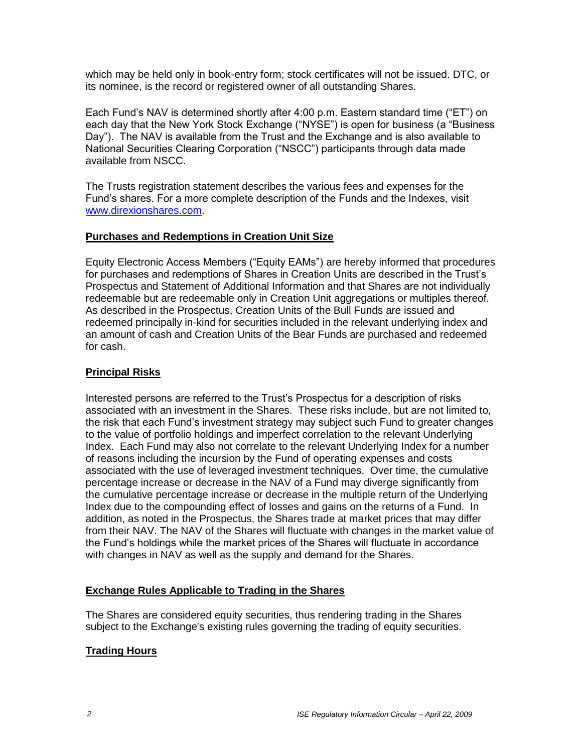which may be held only in book-entry form; stock certificates will not be issued. DTC, or its nominee, is the record or registered owner of all outstanding Shares.

Each Fund's NAV is determined shortly after 4:00 p.m. Eastern standard time ("ET") on each day that the New York Stock Exchange ("NYSE") is open for business (a "Business Day"). The NAV is available from the Trust and the Exchange and is also available to National Securities Clearing Corporation ("NSCC") participants through data made available from NSCC.

The Trusts registration statement describes the various fees and expenses for the Fund's shares. For a more complete description of the Funds and the Indexes, visit [www.direxionshares.com.](http://www.direxionshares.com/)

## **Purchases and Redemptions in Creation Unit Size**

Equity Electronic Access Members ("Equity EAMs") are hereby informed that procedures for purchases and redemptions of Shares in Creation Units are described in the Trust's Prospectus and Statement of Additional Information and that Shares are not individually redeemable but are redeemable only in Creation Unit aggregations or multiples thereof. As described in the Prospectus, Creation Units of the Bull Funds are issued and redeemed principally in-kind for securities included in the relevant underlying index and an amount of cash and Creation Units of the Bear Funds are purchased and redeemed for cash.

### **Principal Risks**

Interested persons are referred to the Trust's Prospectus for a description of risks associated with an investment in the Shares. These risks include, but are not limited to, the risk that each Fund's investment strategy may subject such Fund to greater changes to the value of portfolio holdings and imperfect correlation to the relevant Underlying Index. Each Fund may also not correlate to the relevant Underlying Index for a number of reasons including the incursion by the Fund of operating expenses and costs associated with the use of leveraged investment techniques. Over time, the cumulative percentage increase or decrease in the NAV of a Fund may diverge significantly from the cumulative percentage increase or decrease in the multiple return of the Underlying Index due to the compounding effect of losses and gains on the returns of a Fund. In addition, as noted in the Prospectus, the Shares trade at market prices that may differ from their NAV. The NAV of the Shares will fluctuate with changes in the market value of the Fund's holdings while the market prices of the Shares will fluctuate in accordance with changes in NAV as well as the supply and demand for the Shares.

## **Exchange Rules Applicable to Trading in the Shares**

The Shares are considered equity securities, thus rendering trading in the Shares subject to the Exchange's existing rules governing the trading of equity securities.

## **Trading Hours**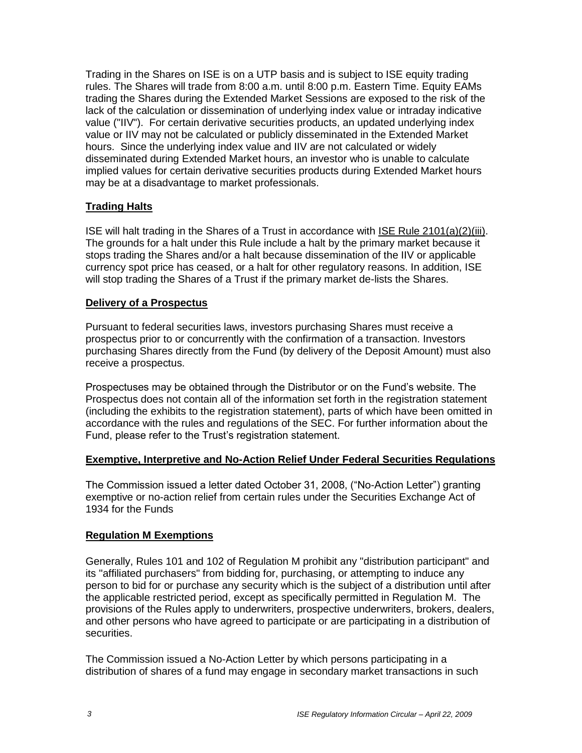Trading in the Shares on ISE is on a UTP basis and is subject to ISE equity trading rules. The Shares will trade from 8:00 a.m. until 8:00 p.m. Eastern Time. Equity EAMs trading the Shares during the Extended Market Sessions are exposed to the risk of the lack of the calculation or dissemination of underlying index value or intraday indicative value ("IIV"). For certain derivative securities products, an updated underlying index value or IIV may not be calculated or publicly disseminated in the Extended Market hours. Since the underlying index value and IIV are not calculated or widely disseminated during Extended Market hours, an investor who is unable to calculate implied values for certain derivative securities products during Extended Market hours may be at a disadvantage to market professionals.

## **Trading Halts**

ISE will halt trading in the Shares of a Trust in accordance with ISE Rule 2101(a)(2)(iii). The grounds for a halt under this Rule include a halt by the primary market because it stops trading the Shares and/or a halt because dissemination of the IIV or applicable currency spot price has ceased, or a halt for other regulatory reasons. In addition, ISE will stop trading the Shares of a Trust if the primary market de-lists the Shares.

#### **Delivery of a Prospectus**

Pursuant to federal securities laws, investors purchasing Shares must receive a prospectus prior to or concurrently with the confirmation of a transaction. Investors purchasing Shares directly from the Fund (by delivery of the Deposit Amount) must also receive a prospectus.

Prospectuses may be obtained through the Distributor or on the Fund's website. The Prospectus does not contain all of the information set forth in the registration statement (including the exhibits to the registration statement), parts of which have been omitted in accordance with the rules and regulations of the SEC. For further information about the Fund, please refer to the Trust's registration statement.

#### **Exemptive, Interpretive and No-Action Relief Under Federal Securities Regulations**

The Commission issued a letter dated October 31, 2008, ("No-Action Letter") granting exemptive or no-action relief from certain rules under the Securities Exchange Act of 1934 for the Funds

## **Regulation M Exemptions**

Generally, Rules 101 and 102 of Regulation M prohibit any "distribution participant" and its "affiliated purchasers" from bidding for, purchasing, or attempting to induce any person to bid for or purchase any security which is the subject of a distribution until after the applicable restricted period, except as specifically permitted in Regulation M. The provisions of the Rules apply to underwriters, prospective underwriters, brokers, dealers, and other persons who have agreed to participate or are participating in a distribution of securities.

The Commission issued a No-Action Letter by which persons participating in a distribution of shares of a fund may engage in secondary market transactions in such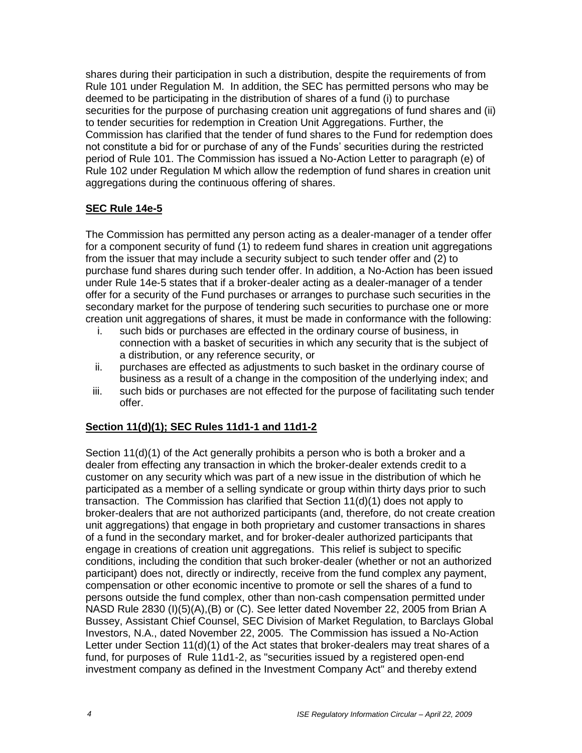shares during their participation in such a distribution, despite the requirements of from Rule 101 under Regulation M. In addition, the SEC has permitted persons who may be deemed to be participating in the distribution of shares of a fund (i) to purchase securities for the purpose of purchasing creation unit aggregations of fund shares and (ii) to tender securities for redemption in Creation Unit Aggregations. Further, the Commission has clarified that the tender of fund shares to the Fund for redemption does not constitute a bid for or purchase of any of the Funds' securities during the restricted period of Rule 101. The Commission has issued a No-Action Letter to paragraph (e) of Rule 102 under Regulation M which allow the redemption of fund shares in creation unit aggregations during the continuous offering of shares.

## **SEC Rule 14e-5**

The Commission has permitted any person acting as a dealer-manager of a tender offer for a component security of fund (1) to redeem fund shares in creation unit aggregations from the issuer that may include a security subject to such tender offer and (2) to purchase fund shares during such tender offer. In addition, a No-Action has been issued under Rule 14e-5 states that if a broker-dealer acting as a dealer-manager of a tender offer for a security of the Fund purchases or arranges to purchase such securities in the secondary market for the purpose of tendering such securities to purchase one or more creation unit aggregations of shares, it must be made in conformance with the following:

- i. such bids or purchases are effected in the ordinary course of business, in connection with a basket of securities in which any security that is the subject of a distribution, or any reference security, or
- ii. purchases are effected as adjustments to such basket in the ordinary course of business as a result of a change in the composition of the underlying index; and
- iii. such bids or purchases are not effected for the purpose of facilitating such tender offer.

## **Section 11(d)(1); SEC Rules 11d1-1 and 11d1-2**

Section 11(d)(1) of the Act generally prohibits a person who is both a broker and a dealer from effecting any transaction in which the broker-dealer extends credit to a customer on any security which was part of a new issue in the distribution of which he participated as a member of a selling syndicate or group within thirty days prior to such transaction. The Commission has clarified that Section 11(d)(1) does not apply to broker-dealers that are not authorized participants (and, therefore, do not create creation unit aggregations) that engage in both proprietary and customer transactions in shares of a fund in the secondary market, and for broker-dealer authorized participants that engage in creations of creation unit aggregations. This relief is subject to specific conditions, including the condition that such broker-dealer (whether or not an authorized participant) does not, directly or indirectly, receive from the fund complex any payment, compensation or other economic incentive to promote or sell the shares of a fund to persons outside the fund complex, other than non-cash compensation permitted under NASD Rule 2830 (I)(5)(A),(B) or (C). See letter dated November 22, 2005 from Brian A Bussey, Assistant Chief Counsel, SEC Division of Market Regulation, to Barclays Global Investors, N.A., dated November 22, 2005. The Commission has issued a No-Action Letter under Section 11(d)(1) of the Act states that broker-dealers may treat shares of a fund, for purposes of Rule 11d1-2, as "securities issued by a registered open-end investment company as defined in the Investment Company Act" and thereby extend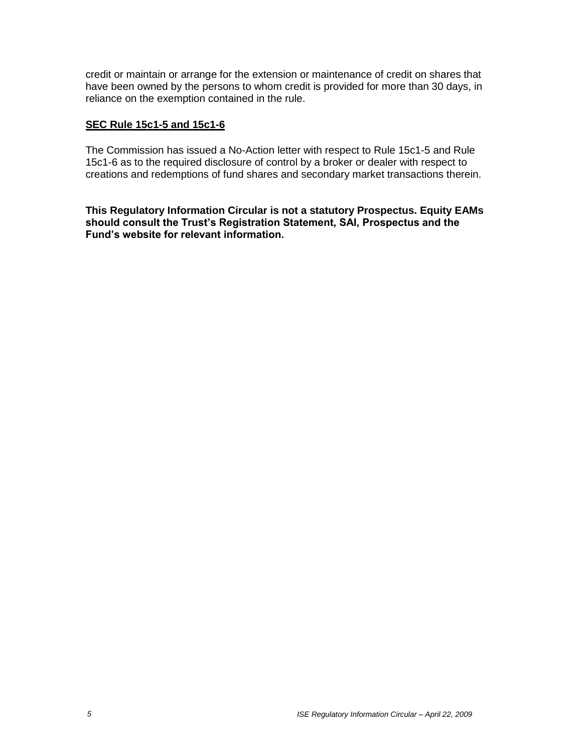credit or maintain or arrange for the extension or maintenance of credit on shares that have been owned by the persons to whom credit is provided for more than 30 days, in reliance on the exemption contained in the rule.

## **SEC Rule 15c1-5 and 15c1-6**

The Commission has issued a No-Action letter with respect to Rule 15c1-5 and Rule 15c1-6 as to the required disclosure of control by a broker or dealer with respect to creations and redemptions of fund shares and secondary market transactions therein.

**This Regulatory Information Circular is not a statutory Prospectus. Equity EAMs should consult the Trust's Registration Statement, SAI, Prospectus and the Fund's website for relevant information.**